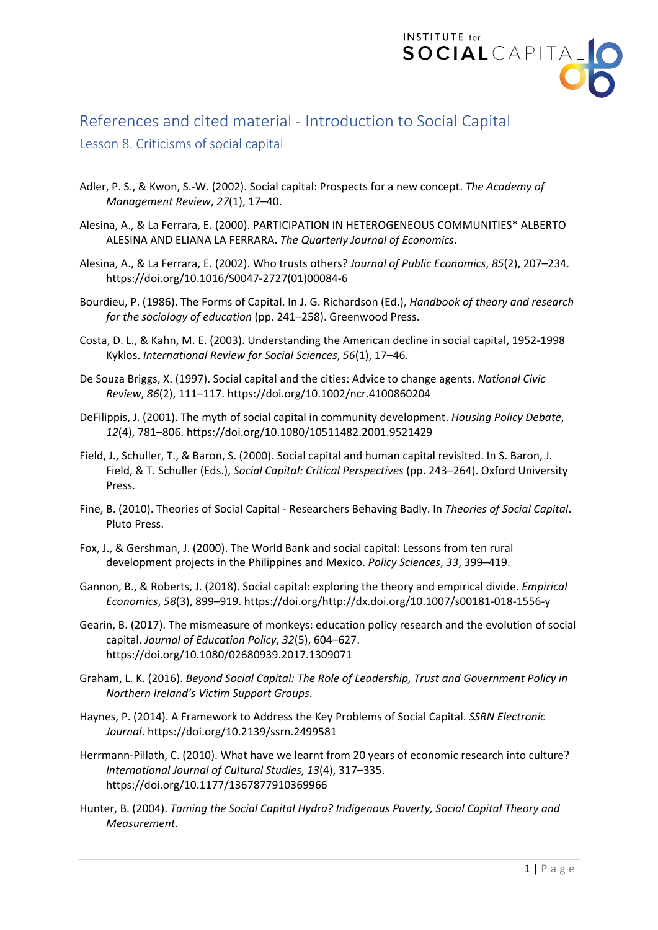

## References and cited material - Introduction to Social Capital

## Lesson 8. Criticisms of social capital

- Adler, P. S., & Kwon, S.-W. (2002). Social capital: Prospects for a new concept. *The Academy of Management Review*, *27*(1), 17–40.
- Alesina, A., & La Ferrara, E. (2000). PARTICIPATION IN HETEROGENEOUS COMMUNITIES\* ALBERTO ALESINA AND ELIANA LA FERRARA. *The Quarterly Journal of Economics*.
- Alesina, A., & La Ferrara, E. (2002). Who trusts others? *Journal of Public Economics*, *85*(2), 207–234. https://doi.org/10.1016/S0047-2727(01)00084-6
- Bourdieu, P. (1986). The Forms of Capital. In J. G. Richardson (Ed.), *Handbook of theory and research for the sociology of education* (pp. 241–258). Greenwood Press.
- Costa, D. L., & Kahn, M. E. (2003). Understanding the American decline in social capital, 1952-1998 Kyklos. *International Review for Social Sciences*, *56*(1), 17–46.
- De Souza Briggs, X. (1997). Social capital and the cities: Advice to change agents. *National Civic Review*, *86*(2), 111–117. https://doi.org/10.1002/ncr.4100860204
- DeFilippis, J. (2001). The myth of social capital in community development. *Housing Policy Debate*, *12*(4), 781–806. https://doi.org/10.1080/10511482.2001.9521429
- Field, J., Schuller, T., & Baron, S. (2000). Social capital and human capital revisited. In S. Baron, J. Field, & T. Schuller (Eds.), *Social Capital: Critical Perspectives* (pp. 243–264). Oxford University Press.
- Fine, B. (2010). Theories of Social Capital Researchers Behaving Badly. In *Theories of Social Capital*. Pluto Press.
- Fox, J., & Gershman, J. (2000). The World Bank and social capital: Lessons from ten rural development projects in the Philippines and Mexico. *Policy Sciences*, *33*, 399–419.
- Gannon, B., & Roberts, J. (2018). Social capital: exploring the theory and empirical divide. *Empirical Economics*, *58*(3), 899–919. https://doi.org/http://dx.doi.org/10.1007/s00181-018-1556-y
- Gearin, B. (2017). The mismeasure of monkeys: education policy research and the evolution of social capital. *Journal of Education Policy*, *32*(5), 604–627. https://doi.org/10.1080/02680939.2017.1309071
- Graham, L. K. (2016). *Beyond Social Capital: The Role of Leadership, Trust and Government Policy in Northern Ireland's Victim Support Groups*.
- Haynes, P. (2014). A Framework to Address the Key Problems of Social Capital. *SSRN Electronic Journal*. https://doi.org/10.2139/ssrn.2499581
- Herrmann-Pillath, C. (2010). What have we learnt from 20 years of economic research into culture? *International Journal of Cultural Studies*, *13*(4), 317–335. https://doi.org/10.1177/1367877910369966
- Hunter, B. (2004). *Taming the Social Capital Hydra? Indigenous Poverty, Social Capital Theory and Measurement*.